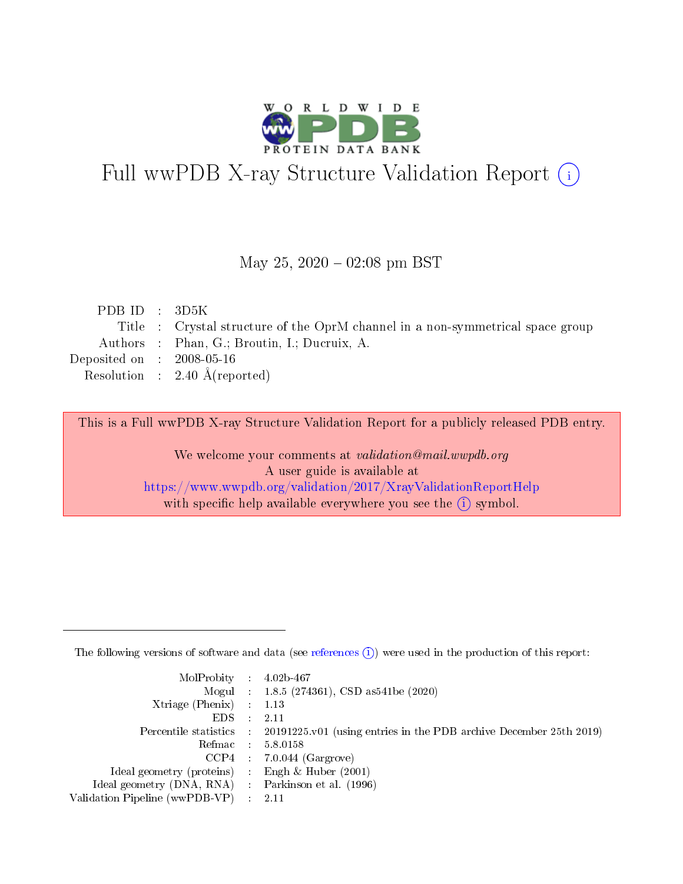

# Full wwPDB X-ray Structure Validation Report (i)

#### May 25,  $2020 - 02:08$  pm BST

| PDB ID : $3D5K$             |                                                                                |
|-----------------------------|--------------------------------------------------------------------------------|
|                             | Title : Crystal structure of the OprM channel in a non-symmetrical space group |
|                             | Authors : Phan, G.; Broutin, I.; Ducruix, A.                                   |
| Deposited on : $2008-05-16$ |                                                                                |
|                             | Resolution : $2.40 \text{ Å}$ (reported)                                       |
|                             |                                                                                |

This is a Full wwPDB X-ray Structure Validation Report for a publicly released PDB entry.

We welcome your comments at validation@mail.wwpdb.org A user guide is available at <https://www.wwpdb.org/validation/2017/XrayValidationReportHelp> with specific help available everywhere you see the  $(i)$  symbol.

The following versions of software and data (see [references](https://www.wwpdb.org/validation/2017/XrayValidationReportHelp#references)  $(1)$ ) were used in the production of this report:

| $MolProbability$ : 4.02b-467                      |               |                                                                                            |
|---------------------------------------------------|---------------|--------------------------------------------------------------------------------------------|
|                                                   |               | Mogul : $1.8.5$ (274361), CSD as 541be (2020)                                              |
| Xtriage (Phenix) $: 1.13$                         |               |                                                                                            |
| EDS –                                             | $\mathcal{A}$ | -2.11                                                                                      |
|                                                   |               | Percentile statistics : 20191225.v01 (using entries in the PDB archive December 25th 2019) |
| Refmac : 5.8.0158                                 |               |                                                                                            |
|                                                   |               | $CCP4$ : 7.0.044 (Gargrove)                                                                |
| Ideal geometry (proteins) :                       |               | Engh $\&$ Huber (2001)                                                                     |
| Ideal geometry (DNA, RNA) Parkinson et al. (1996) |               |                                                                                            |
| Validation Pipeline (wwPDB-VP) : 2.11             |               |                                                                                            |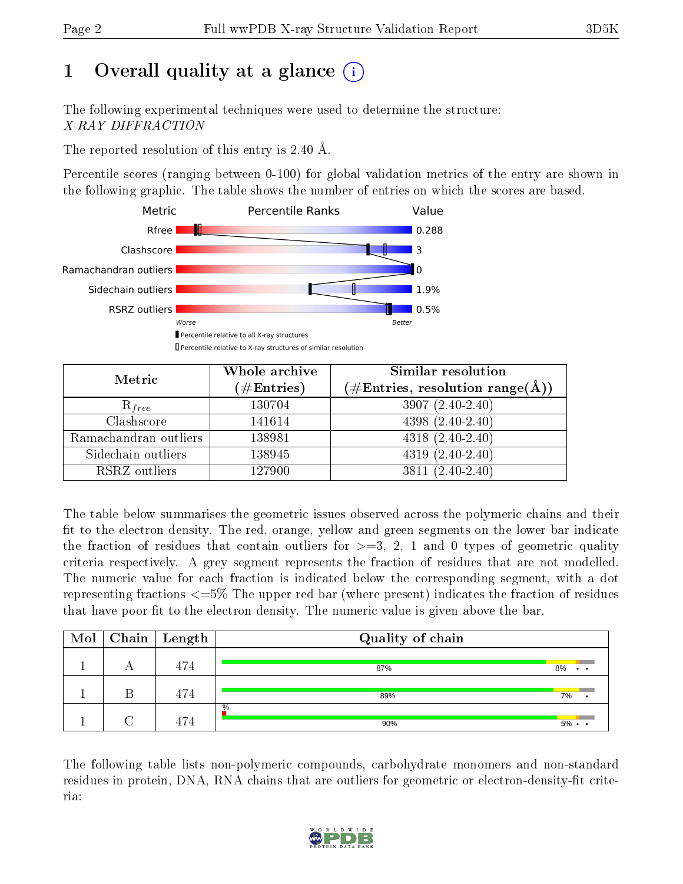# 1 [O](https://www.wwpdb.org/validation/2017/XrayValidationReportHelp#overall_quality)verall quality at a glance  $(i)$

The following experimental techniques were used to determine the structure: X-RAY DIFFRACTION

The reported resolution of this entry is 2.40 Å.

Percentile scores (ranging between 0-100) for global validation metrics of the entry are shown in the following graphic. The table shows the number of entries on which the scores are based.



| Metric                | Whole archive<br>$(\#\text{Entries})$ | Similar resolution<br>$(\#\text{Entries},\, \text{resolution}\; \text{range}(\textup{\AA}))$ |
|-----------------------|---------------------------------------|----------------------------------------------------------------------------------------------|
| $R_{free}$            | 130704                                | $3907(2.40-2.40)$                                                                            |
| Clashscore            | 141614                                | $4398(2.40-2.40)$                                                                            |
| Ramachandran outliers | 138981                                | $4318 (2.40 - 2.40)$                                                                         |
| Sidechain outliers    | 138945                                | $4319(2.40-2.40)$                                                                            |
| RSRZ outliers         | 127900                                | $3811 (2.40 - 2.40)$                                                                         |

The table below summarises the geometric issues observed across the polymeric chains and their fit to the electron density. The red, orange, yellow and green segments on the lower bar indicate the fraction of residues that contain outliers for  $>=3, 2, 1$  and 0 types of geometric quality criteria respectively. A grey segment represents the fraction of residues that are not modelled. The numeric value for each fraction is indicated below the corresponding segment, with a dot representing fractions <=5% The upper red bar (where present) indicates the fraction of residues that have poor fit to the electron density. The numeric value is given above the bar.

| Mol | Chain   Length | Quality of chain |                   |
|-----|----------------|------------------|-------------------|
|     | 474            | 87%              | 8%<br>$\cdot$ .   |
|     | 474            | 89%              | 7%                |
|     | 474            | $\%$<br>90%      | $5\% \cdot \cdot$ |

The following table lists non-polymeric compounds, carbohydrate monomers and non-standard residues in protein, DNA, RNA chains that are outliers for geometric or electron-density-fit criteria:

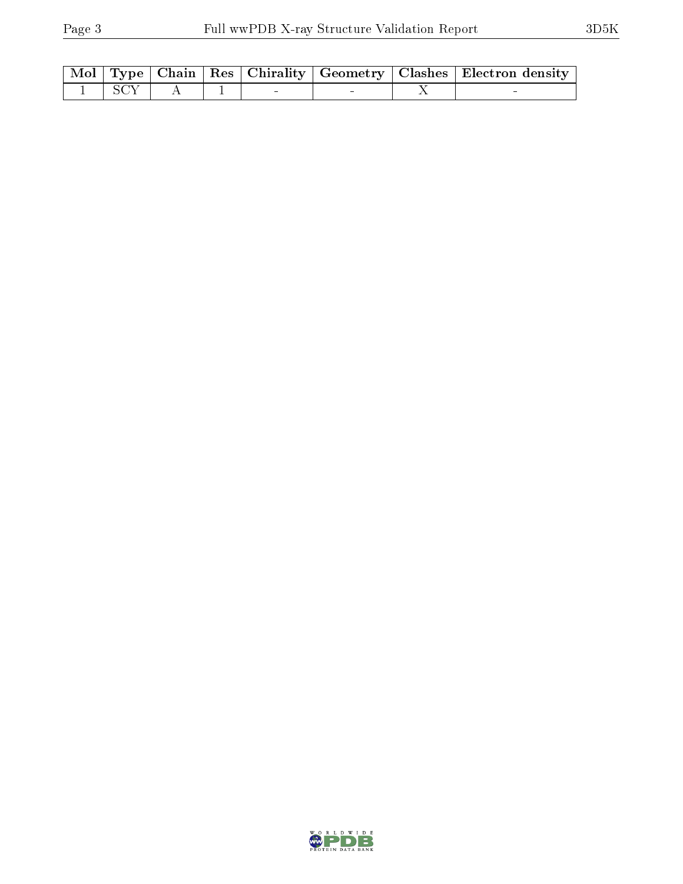|                     |  |  | Mol   Type   Chain   Res   Chirality   Geometry   Clashes   Electron density |
|---------------------|--|--|------------------------------------------------------------------------------|
| $1 \vert SCY \vert$ |  |  |                                                                              |

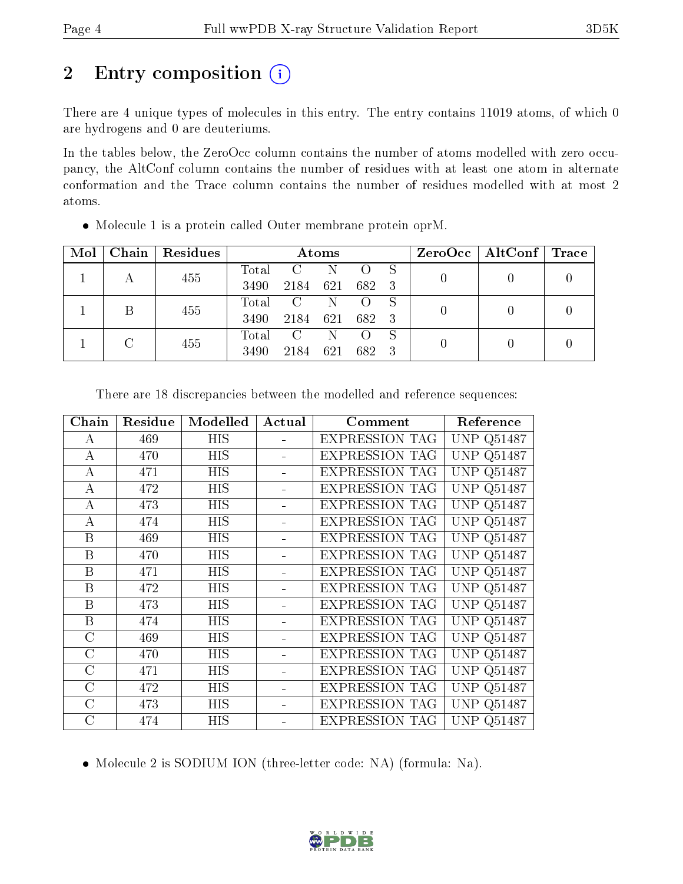# 2 Entry composition (i)

There are 4 unique types of molecules in this entry. The entry contains 11019 atoms, of which 0 are hydrogens and 0 are deuteriums.

In the tables below, the ZeroOcc column contains the number of atoms modelled with zero occupancy, the AltConf column contains the number of residues with at least one atom in alternate conformation and the Trace column contains the number of residues modelled with at most 2 atoms.

| Mol | Chain | Residues | Atoms |                |     |       | ZeroOcc   AltConf | $\sqrt{\phantom{a}}$ Trace |  |
|-----|-------|----------|-------|----------------|-----|-------|-------------------|----------------------------|--|
|     |       | 455      | Total |                |     |       |                   |                            |  |
|     |       |          | 3490  | 2184           | 621 | 682 3 |                   |                            |  |
|     |       | 455      | Total | $\overline{C}$ | N   |       | -S                |                            |  |
|     |       |          | 3490  | 2184           | 621 | 682 3 |                   |                            |  |
|     |       | 455      | Total | C              | N   |       | -S                |                            |  |
|     |       | 3490     | 2184  | 621            | 682 | -3    |                   |                            |  |

Molecule 1 is a protein called Outer membrane protein oprM.

| Chain          | Residue | Modelled   | Actual | Comment               | Reference                         |
|----------------|---------|------------|--------|-----------------------|-----------------------------------|
| А              | 469     | HIS        |        | <b>EXPRESSION TAG</b> | Q51487<br>UNP                     |
| A              | 470     | HIS        |        | <b>EXPRESSION TAG</b> | Q51487<br>UNP                     |
| А              | 471     | <b>HIS</b> |        | <b>EXPRESSION TAG</b> | $Q51\overline{487}$<br><b>UNP</b> |
| A              | 472     | HIS        |        | <b>EXPRESSION TAG</b> | <b>UNP Q51487</b>                 |
| А              | 473     | <b>HIS</b> |        | <b>EXPRESSION TAG</b> | Q51487<br>UNP                     |
| А              | 474     | HIS        |        | <b>EXPRESSION TAG</b> | <b>UNP</b><br>Q51487              |
| B              | 469     | <b>HIS</b> |        | <b>EXPRESSION TAG</b> | <b>UNP</b><br>Q51487              |
| B              | 470     | HIS        |        | <b>EXPRESSION TAG</b> | Q51487<br><b>UNP</b>              |
| B              | 471     | <b>HIS</b> |        | <b>EXPRESSION TAG</b> | <b>UNP</b><br>Q51487              |
| B              | 472     | HIS        |        | <b>EXPRESSION TAG</b> | Q51487<br>UNP                     |
| B              | 473     | HIS        |        | <b>EXPRESSION TAG</b> | Q51487<br>UNP                     |
| B              | 474     | HIS        |        | <b>EXPRESSION TAG</b> | Q51487<br>UNP                     |
| C              | 469     | HIS        |        | <b>EXPRESSION TAG</b> | Q51487<br>UNP                     |
| $\overline{C}$ | 470     | HIS        |        | <b>EXPRESSION TAG</b> | UNP<br>Q51487                     |
| $\rm C$        | 471     | HIS        |        | <b>EXPRESSION TAG</b> | Q51487<br>UNP                     |
| $\rm C$        | 472     | HIS        |        | <b>EXPRESSION TAG</b> | Q51487<br>UNP                     |
| $\rm C$        | 473     | HIS        |        | <b>EXPRESSION TAG</b> | Q51487<br>UNP                     |
| C              | 474     | HIS        |        | <b>EXPRESSION TAG</b> | UNP<br>Q51487                     |

There are 18 discrepancies between the modelled and reference sequences:

• Molecule 2 is SODIUM ION (three-letter code: NA) (formula: Na).

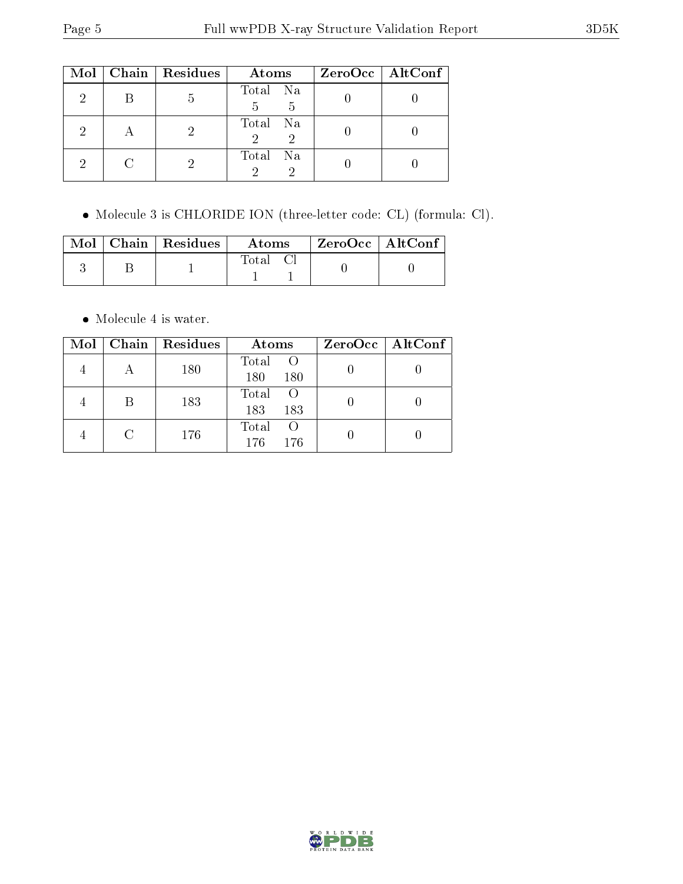|   | Mol   Chain   Residues | Atoms              | ZeroOcc   AltConf |
|---|------------------------|--------------------|-------------------|
|   | 5                      | Total Na<br>5<br>5 |                   |
|   |                        | Total Na<br>2      |                   |
| 2 |                        | Total Na           |                   |

Molecule 3 is CHLORIDE ION (three-letter code: CL) (formula: Cl).

|  | $\text{Mol}$   Chain   Residues | Atoms    | └ ZeroOcc   AltConf |  |
|--|---------------------------------|----------|---------------------|--|
|  |                                 | Total Cl |                     |  |

• Molecule 4 is water.

| Mol | Chain   Residues | Atoms                                   | $ZeroOcc$   AltConf |
|-----|------------------|-----------------------------------------|---------------------|
|     | 180              | Total<br>180<br>180                     |                     |
|     | 183              | Total<br>183<br>183                     |                     |
|     | 176              | Total<br>$\left( \right)$<br>176<br>176 |                     |

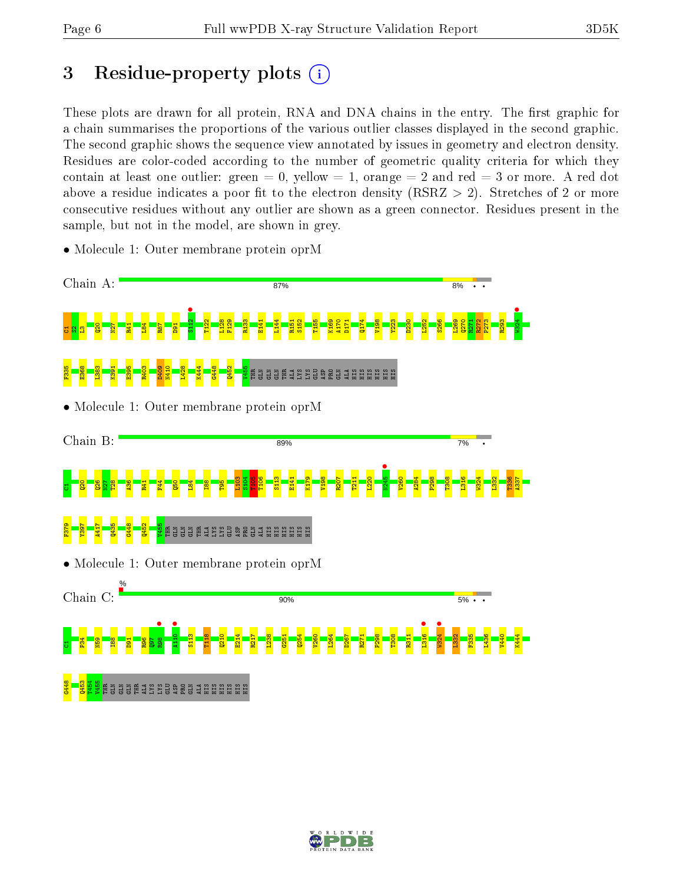## 3 Residue-property plots  $(i)$

These plots are drawn for all protein, RNA and DNA chains in the entry. The first graphic for a chain summarises the proportions of the various outlier classes displayed in the second graphic. The second graphic shows the sequence view annotated by issues in geometry and electron density. Residues are color-coded according to the number of geometric quality criteria for which they contain at least one outlier: green  $= 0$ , yellow  $= 1$ , orange  $= 2$  and red  $= 3$  or more. A red dot above a residue indicates a poor fit to the electron density (RSRZ  $> 2$ ). Stretches of 2 or more consecutive residues without any outlier are shown as a green connector. Residues present in the sample, but not in the model, are shown in grey.



• Molecule 1: Outer membrane protein oprM

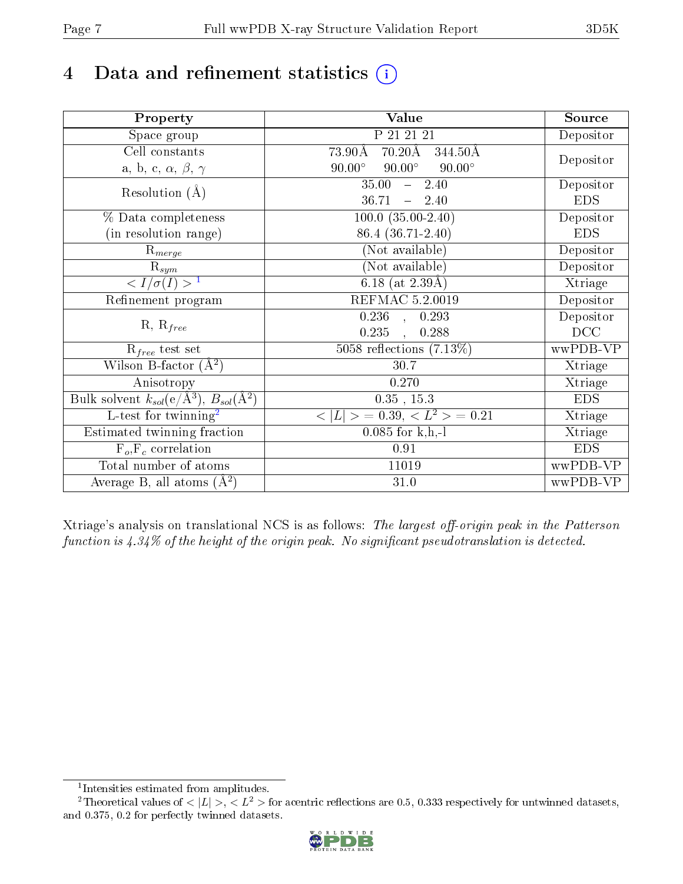# 4 Data and refinement statistics  $(i)$

| Property                                                   | Value                                           | Source     |
|------------------------------------------------------------|-------------------------------------------------|------------|
| Space group                                                | P 21 21 21                                      | Depositor  |
| Cell constants                                             | $70.20\text{\AA}$<br>73.90Å<br>344.50Å          |            |
| a, b, c, $\alpha$ , $\beta$ , $\gamma$                     | $90.00^\circ$<br>$90.00^\circ$<br>$90.00^\circ$ | Depositor  |
| Resolution $(A)$                                           | $-2.40$<br>35.00                                | Depositor  |
|                                                            | 36.71<br>$-2.40$                                | <b>EDS</b> |
| % Data completeness                                        | $100.0 (35.00-2.40)$                            | Depositor  |
| (in resolution range)                                      | 86.4 (36.71-2.40)                               | <b>EDS</b> |
| $\mathrm{R}_{merge}$                                       | (Not available)                                 | Depositor  |
| $\mathrm{R}_{sym}$                                         | (Not available)                                 | Depositor  |
| $\langle I/\sigma(I) \rangle^{-1}$                         | $\overline{6.18}$ (at 2.39Å)                    | Xtriage    |
| Refinement program                                         | <b>REFMAC 5.2.0019</b>                          | Depositor  |
|                                                            | $\overline{0.236}$ ,<br>0.293                   | Depositor  |
| $R, R_{free}$                                              | 0.235<br>0.288<br>$\ddot{\phantom{a}}$          | DCC        |
| $R_{free}$ test set                                        | 5058 reflections $(7.13\%)$                     | wwPDB-VP   |
| Wilson B-factor $(A^2)$                                    | 30.7                                            | Xtriage    |
| Anisotropy                                                 | 0.270                                           | Xtriage    |
| Bulk solvent $k_{sol}$ (e/Å <sup>3</sup> ), $B_{sol}(A^2)$ | $0.35$ , 15.3                                   | <b>EDS</b> |
| $\overline{L-test for}$ twinning <sup>2</sup>              | $< L >$ = 0.39, $< L2$ > = 0.21                 | Xtriage    |
| Estimated twinning fraction                                | $0.085$ for k,h,-l                              | Xtriage    |
| $F_o, F_c$ correlation                                     | 0.91                                            | <b>EDS</b> |
| Total number of atoms                                      | 11019                                           | wwPDB-VP   |
| Average B, all atoms $(A^2)$                               | 31.0                                            | wwPDB-VP   |

Xtriage's analysis on translational NCS is as follows: The largest off-origin peak in the Patterson function is  $4.34\%$  of the height of the origin peak. No significant pseudotranslation is detected.

<sup>&</sup>lt;sup>2</sup>Theoretical values of  $\langle |L| \rangle$ ,  $\langle L^2 \rangle$  for acentric reflections are 0.5, 0.333 respectively for untwinned datasets, and 0.375, 0.2 for perfectly twinned datasets.



<span id="page-6-1"></span><span id="page-6-0"></span><sup>1</sup> Intensities estimated from amplitudes.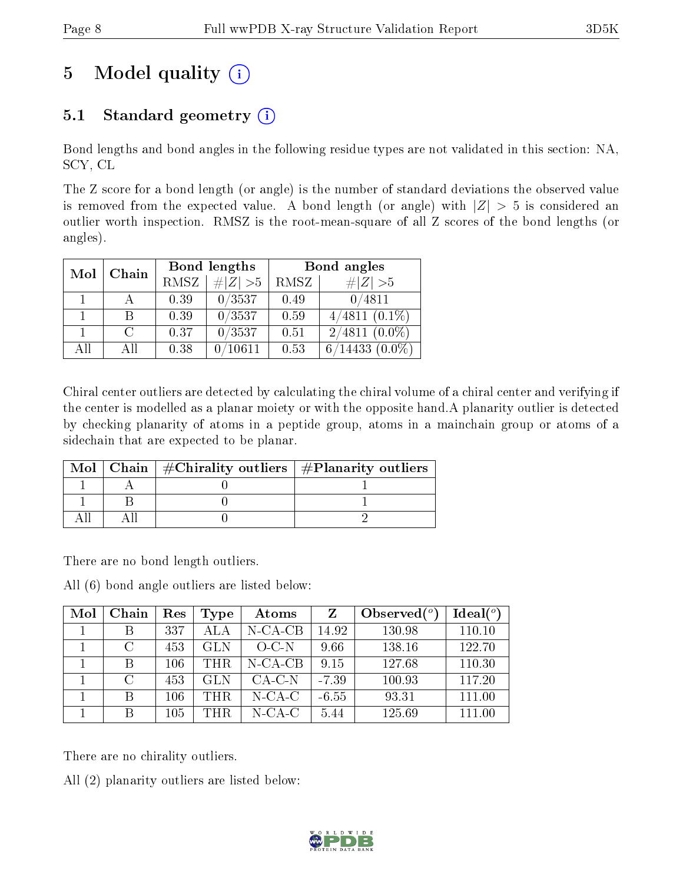# 5 Model quality  $(i)$

## 5.1 Standard geometry  $(i)$

Bond lengths and bond angles in the following residue types are not validated in this section: NA, SCY, CL

The Z score for a bond length (or angle) is the number of standard deviations the observed value is removed from the expected value. A bond length (or angle) with  $|Z| > 5$  is considered an outlier worth inspection. RMSZ is the root-mean-square of all Z scores of the bond lengths (or angles).

| Mol | Chain  |      | Bond lengths | Bond angles |                  |  |
|-----|--------|------|--------------|-------------|------------------|--|
|     |        | RMSZ | $\# Z  > 5$  | RMSZ        | $\ Z\  > 5$      |  |
|     |        | 0.39 | 0/3537       | 0.49        | 0/4811           |  |
|     | В      | 0.39 | 0/3537       | 0.59        | $4/4811(0.1\%)$  |  |
|     | $\cap$ | 0.37 | 0/3537       | 0.51        | $2/4811~(0.0\%)$ |  |
| AH  | ΑH     | 0.38 |              | 0.53        | $^\prime 14433$  |  |

Chiral center outliers are detected by calculating the chiral volume of a chiral center and verifying if the center is modelled as a planar moiety or with the opposite hand.A planarity outlier is detected by checking planarity of atoms in a peptide group, atoms in a mainchain group or atoms of a sidechain that are expected to be planar.

|  | Mol   Chain   $\#\text{Chirality outliers}$   $\#\text{Planarity outliers}$ |
|--|-----------------------------------------------------------------------------|
|  |                                                                             |
|  |                                                                             |
|  |                                                                             |

There are no bond length outliers.

All (6) bond angle outliers are listed below:

| Mol | Chain  | Res     | Type       | Atoms      |         | Observed $(°)$ | Ideal $(°)$ |
|-----|--------|---------|------------|------------|---------|----------------|-------------|
|     |        | 337     | ALA        | $N$ -CA-CB | 14.92   | 130.98         | 110.10      |
|     | $\cap$ | 453     | GL N       | $O-C-N$    | 9.66    | 138.16         | 122.70      |
|     | B      | $106\,$ | THR.       | $N$ -CA-CB | 9.15    | 127.68         | 110.30      |
|     | $\cap$ | 453     | <b>GLN</b> | $CA-C-N$   | $-7.39$ | 100.93         | 117.20      |
|     | R      | $106\,$ | THR.       | $N$ -CA-C  | $-6.55$ | 93.31          | 111.00      |
|     |        | $105\,$ | THR.       | $N$ -CA-C  | 5.44    | 125.69         | 111.00      |

There are no chirality outliers.

All (2) planarity outliers are listed below:

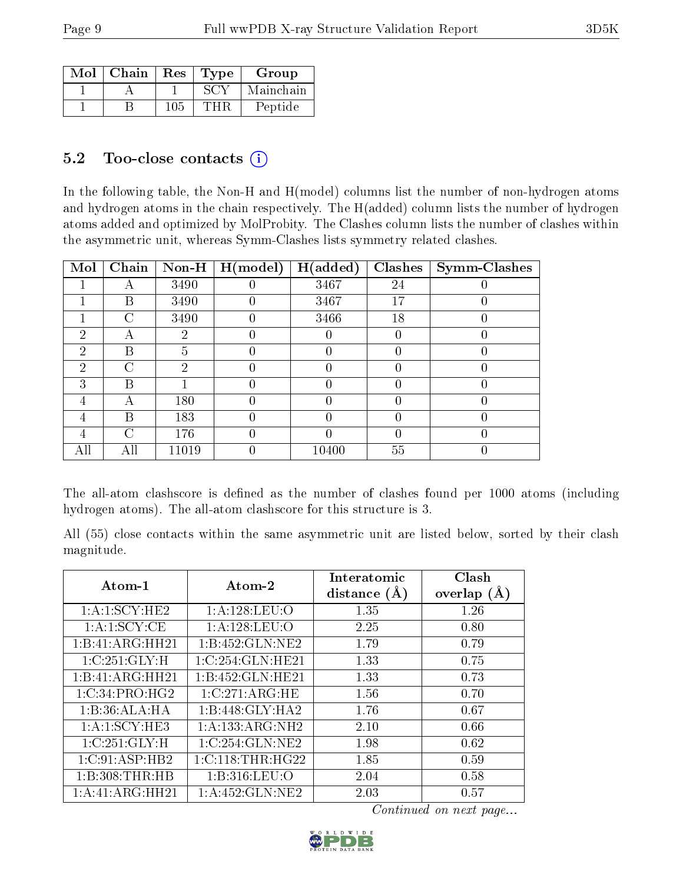| Mol | Chain | Res | Type | Group     |
|-----|-------|-----|------|-----------|
|     |       |     |      | Mainchain |
|     |       | 105 | нь   | Peptide   |

### $5.2$  Too-close contacts  $(i)$

In the following table, the Non-H and H(model) columns list the number of non-hydrogen atoms and hydrogen atoms in the chain respectively. The H(added) column lists the number of hydrogen atoms added and optimized by MolProbity. The Clashes column lists the number of clashes within the asymmetric unit, whereas Symm-Clashes lists symmetry related clashes.

| Mol           | Chain     | Non-H | H (model) | H(added) | <b>Clashes</b> | <b>Symm-Clashes</b> |
|---------------|-----------|-------|-----------|----------|----------------|---------------------|
|               | А         | 3490  |           | 3467     | 24             |                     |
|               | В         | 3490  |           | 3467     | 17             |                     |
|               | $\bigcap$ | 3490  |           | 3466     | 18             |                     |
| $\mathcal{D}$ | А         | 2     |           |          |                |                     |
| $\mathcal{D}$ | В         | G     |           |          |                |                     |
| 2             | C         | 2     |           |          |                |                     |
| 3             | В         |       |           |          |                |                     |
| 4             | А         | 180   |           |          |                |                     |
| 4             | В         | 183   |           |          |                |                     |
| 4             | ◯         | 176   |           |          |                |                     |
| All           | All       | 11019 |           | 10400    | 55             |                     |

The all-atom clashscore is defined as the number of clashes found per 1000 atoms (including hydrogen atoms). The all-atom clashscore for this structure is 3.

All (55) close contacts within the same asymmetric unit are listed below, sorted by their clash magnitude.

| Atom-1            | Atom-2                             | Interatomic<br>distance $(A)$ | Clash<br>overlap<br>(A) |
|-------------------|------------------------------------|-------------------------------|-------------------------|
| 1: A: 1: SCY: HE2 | 1:A:128:LEU:O                      | 1.35                          | 1.26                    |
| 1: A: 1: SCY: CE  | 1:A:128:LEU:O                      | 2.25                          | 0.80                    |
| 1:B:41:ARG:HH21   | 1:B:452:GLN:NE2                    | 1.79                          | 0.79                    |
| 1:C:251:GLY:H     | $\overline{1:\rm C}$ :254:GLN:HE21 | 1.33                          | 0.75                    |
| 1:B:41:ARG:HH21   | 1:B:452:GLN:HE21                   | 1.33                          | 0.73                    |
| 1:C:34:PRO:HG2    | 1:C:271:ARG:HE                     | 1.56                          | 0.70                    |
| 1:B:36:ALA:HA     | 1:B:448:GLY:HA2                    | 1.76                          | 0.67                    |
| 1:A:1:SCY:HE3     | 1:A:133:ARG:NH2                    | 2.10                          | 0.66                    |
| 1:C:251:GLY:H     | 1:C:254:GLN:NE2                    | 1.98                          | 0.62                    |
| 1:C:91:ASP:HB2    | 1:C:118:THR:HG22                   | 1.85                          | 0.59                    |
| 1:B:308:THR:HB    | 1: B: 316: LEU: O                  | 2.04                          | 0.58                    |
| 1:A:41:ARG:HH21   | 1: A: 452: GLN: NE2                | 2.03                          | 0.57                    |

Continued on next page...

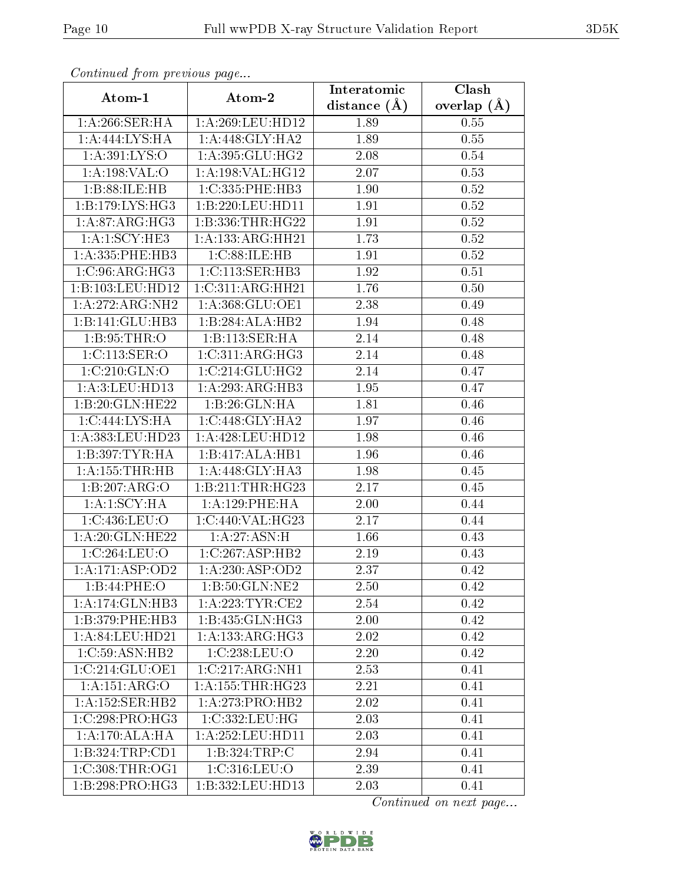| Continuata from previous page       |                               | Interatomic    | Clash         |
|-------------------------------------|-------------------------------|----------------|---------------|
| Atom-1                              | Atom-2                        | distance $(A)$ | overlap $(A)$ |
| 1:A:266:SER:HA                      | 1:A:269:LEU:HD12              | 1.89           | 0.55          |
| 1:A:444:LYS:HA                      | 1: A:448: GLY:HA2             | 1.89           | $0.55\,$      |
| $1: A:391: LYS: \overline{O}$       | 1: A:395: GLU:HG2             | 2.08           | $0.54\,$      |
| 1: A: 198: VAL: O                   | 1: A: 198: VAL:HG12           | 2.07           | 0.53          |
| 1:B:88:ILE:HB                       | 1:C:335:PHE:HB3               | 1.90           | $0.52\,$      |
| 1: B: 179: LYS: HG3                 | 1:B:220:LEU:HD11              | 1.91           | 0.52          |
| 1: A:87: ARG: HG3                   | 1:B:336:THR:HG22              | 1.91           | 0.52          |
| 1:A:1:SCY:HE3                       | 1:A:133:ARG:HH21              | 1.73           | 0.52          |
| 1:A:335:PHE:HB3                     | 1:C:88:ILE:HB                 | 1.91           | 0.52          |
| 1:C:96:ARG:HG3                      | 1:C:113:SER:HB3               | 1.92           | 0.51          |
| 1:B:103:LEU:HD12                    | 1:C:311:ARG:HH21              | 1.76           | 0.50          |
| $1:A:272:ARG:\overline{\text{NH2}}$ | 1:A:368:GLU:OE1               | 2.38           | 0.49          |
| 1:B:141:GLU:HB3                     | 1:B:284:ALA:HB2               | 1.94           | 0.48          |
| 1: B:95:THR:O                       | 1:B:113:SER:HA                | 2.14           | 0.48          |
| 1:C:113:SER:O                       | 1:C:311:ARG:HG3               | 2.14           | 0.48          |
| 1:C:210:GLN:O                       | 1:C:214:GLU:HG2               | 2.14           | 0.47          |
| 1:A:3:LEU:HD13                      | 1:A:293:ARG:HB3               | 1.95           | 0.47          |
| 1:B:20:GLN:HE22                     | 1:B:26:GLN:HA                 | 1.81           | 0.46          |
| 1:C:444:LYS:HA                      | 1:C:448:GLY:HA2               | 1.97           | 0.46          |
| 1:A:383:LEU:HD23                    | 1: A:428: LEU: HD12           | 1.98           | 0.46          |
| 1:B:397:TYR:HA                      | 1:B:417:ALA:HB1               | 1.96           | 0.46          |
| 1: A: 155: THR: HB                  | 1:A:448:GLY:HA3               | 1.98           | 0.45          |
| 1:B:207:ARG:O                       | 1:B:211:THR:HG23              | 2.17           | 0.45          |
| 1:A:1:SCY:HA                        | 1: A:129: PHE: HA             | 2.00           | 0.44          |
| 1:C:436:LEU:O                       | 1:C:440:VAL:HG23              | 2.17           | 0.44          |
| 1: A:20: GLN: HE22                  | 1:A:27:ASN:H                  | 1.66           | 0.43          |
| 1:C:264:LEU:O                       | 1:C:267:ASP:HB2               | 2.19           | 0.43          |
| 1:A:171:ASP:OD2                     | 1:A:230:ASP:OD2               | 2.37           | 0.42          |
| 1:B:44:PHE:O                        | 1:B:50:GLN:NE2                | 2.50           | 0.42          |
| 1:A:174:GLN:HB3                     | 1: A:223:TYR:CE2              | 2.54           | 0.42          |
| 1:B:379:PHE:HB3                     | 1:B:435:GLN:HG3               | 2.00           | 0.42          |
| 1:A:84:LEU:HD21                     | 1: A: 133: ARG: HG3           | 2.02           | 0.42          |
| 1:C:59:ASN:HB2                      | 1:C:238:LEU:O                 | 2.20           | 0.42          |
| 1:C:214:GLU:OE1                     | 1:C:217:ARG:NH1               | 2.53           | 0.41          |
| 1:A:151:ARG:O                       | $1:A:155:THR:H\overline{G23}$ | 2.21           | 0.41          |
| 1:A:152:SER:HB2                     | 1:A:273:PRO:HB2               | 2.02           | 0.41          |
| 1:C:298:PRO:HG3                     | 1:C:332:LEU:HG                | 2.03           | 0.41          |
| 1:A:170:ALA:HA                      | 1: A:252:LEU:HD11             | 2.03           | 0.41          |
| 1:B:324:TRP:CD1                     | 1:B:324:TRP:C                 | 2.94           | 0.41          |
| 1:C:308:THR:OG1                     | 1:C:316:LEU:O                 | 2.39           | 0.41          |
| 1:B:298:PRO:HG3                     | 1:B:332:LEU:HD13              | 2.03           | 0.41          |

Continued from previous page.

Continued on next page...

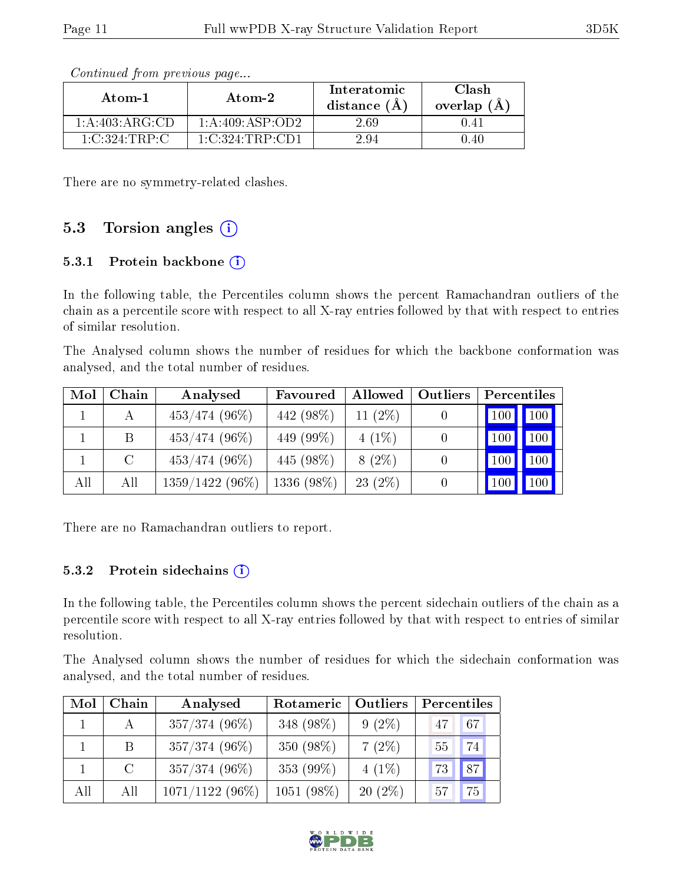| Atom-1             | Atom-2                     | Interatomic<br>distance $(\AA)$ | Clash<br>overlap $(A)$ |  |
|--------------------|----------------------------|---------------------------------|------------------------|--|
| 1: A:403: ARG:CD   | 1: A:409: ASP:OD2          | 2.69                            | 0.41                   |  |
| $1:C:324$ : TRP: C | $1 \text{ C}$ :324 TRP CD1 | 294                             | 1.40                   |  |

Continued from previous page...

There are no symmetry-related clashes.

### 5.3 Torsion angles  $(i)$

#### 5.3.1 Protein backbone  $(i)$

In the following table, the Percentiles column shows the percent Ramachandran outliers of the chain as a percentile score with respect to all X-ray entries followed by that with respect to entries of similar resolution.

The Analysed column shows the number of residues for which the backbone conformation was analysed, and the total number of residues.

| Mol | Chain   | Analysed          | Favoured     | Allowed    | Outliers | Percentiles |         |
|-----|---------|-------------------|--------------|------------|----------|-------------|---------|
|     |         | $453/474$ (96\%)  | 442 (98%)    | 11 $(2\%)$ |          |             | 100 100 |
|     | B.      | $453/474$ (96\%)  | 449 (99%)    | $4(1\%)$   |          | 100         | 100     |
|     | $\rm C$ | $453/474$ (96\%)  | 445 (98%)    | $8(2\%)$   |          | 100         | 100     |
| All | All     | $1359/1422(96\%)$ | $1336(98\%)$ | 23(2%)     |          | 100         | 100     |

There are no Ramachandran outliers to report.

#### 5.3.2 Protein sidechains (i)

In the following table, the Percentiles column shows the percent sidechain outliers of the chain as a percentile score with respect to all X-ray entries followed by that with respect to entries of similar resolution.

The Analysed column shows the number of residues for which the sidechain conformation was analysed, and the total number of residues.

| Mol | Chain                      | Analysed          | Rotameric  | Outliers  | Percentiles |
|-----|----------------------------|-------------------|------------|-----------|-------------|
|     | A                          | 357/374 (96%)     | 348 (98%)  | $9(2\%)$  | 67<br>47    |
|     | B.                         | 357/374 (96%)     | 350 (98%)  | $7(2\%)$  | 74<br>55    |
|     | $\overline{\phantom{a}}$ C | 357/374 (96%)     | 353 (99%)  | $4(1\%)$  | 87 <br>73   |
| All | All                        | $1071/1122(96\%)$ | 1051 (98%) | $20(2\%)$ | 75<br>57    |

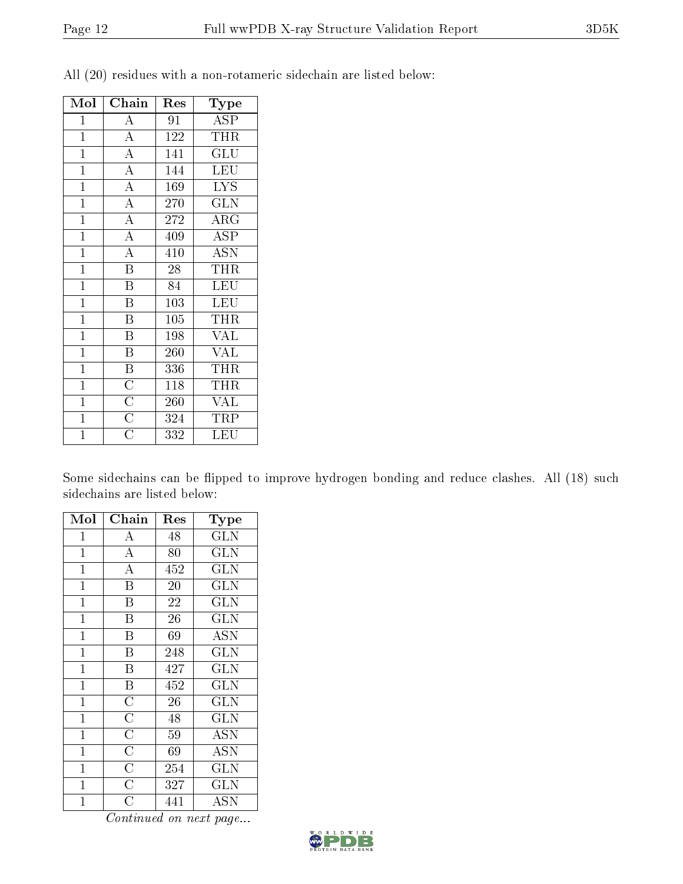| Mol            | Chain                               | Res              | Type                    |
|----------------|-------------------------------------|------------------|-------------------------|
| $\mathbf 1$    | $\overline{\rm A}$                  | 91               | $\overline{\text{ASP}}$ |
| $\mathbf{1}$   | $\overline{\rm A}$                  | 122              | <b>THR</b>              |
| $\overline{1}$ | $\overline{A}$                      | $\overline{1}41$ | $\overline{{\rm GLU}}$  |
| $\mathbf{1}$   | $\overline{A}$                      | 144              | <b>LEU</b>              |
| $\mathbf{1}$   | $\overline{A}$                      | 169              | <b>LYS</b>              |
| $\overline{1}$ | $\overline{A}$                      | 270              | $\overline{\text{GLN}}$ |
| $\mathbf{1}$   | $\overline{\rm A}$                  | 272              | $\rm{ARG}$              |
| $\overline{1}$ | $\overline{A}$                      | 409              | $\overline{\text{ASP}}$ |
| $\overline{1}$ | $\overline{\rm A}$                  | 410              | <b>ASN</b>              |
| $\overline{1}$ | $\overline{\mathrm{B}}$             | 28               | THR                     |
| $\overline{1}$ | $\overline{\mathrm{B}}$             | 84               | <b>LEU</b>              |
| $\mathbf{1}$   | Β                                   | 103              | <b>LEU</b>              |
| $\overline{1}$ | $\overline{\mathrm{B}}$             | 105              | THR                     |
| $\mathbf{1}$   | $\overline{\mathrm{B}}$             | 198              | <b>VAL</b>              |
| $\overline{1}$ | $\overline{\mathrm{B}}$             | 260              | $\overline{\text{VAL}}$ |
| $\mathbf{1}$   | $\overline{B}$                      | 336              | THR                     |
| $\mathbf{1}$   |                                     | 118              | THR                     |
| $\overline{1}$ | $\frac{\overline{C}}{\overline{C}}$ | 260              | $\overline{\text{VAL}}$ |
| $\mathbf{1}$   |                                     | 324              | TRP                     |
| $\overline{1}$ | $\overline{\rm C}$                  | 332              | LEU                     |

All (20) residues with a non-rotameric sidechain are listed below:

Some sidechains can be flipped to improve hydrogen bonding and reduce clashes. All (18) such sidechains are listed below:

| Mol          | Chain                   | Res             | Type                    |
|--------------|-------------------------|-----------------|-------------------------|
| $\mathbf{1}$ | А                       | 48              | GLN                     |
| $\mathbf{1}$ | $\overline{A}$          | 80              | $\overline{\text{GLN}}$ |
| $\mathbf 1$  | $\overline{\rm A}$      | 452             | <b>GLN</b>              |
| $\mathbf 1$  | $\overline{\mathrm{B}}$ | 20 <sup>7</sup> | $\overline{\text{GLN}}$ |
| 1            | B                       | 22              | <b>GLN</b>              |
| $\mathbf{1}$ | B                       | 26              | <b>GLN</b>              |
| $\mathbf 1$  | $\overline{\mathrm{B}}$ | 69              | $\overline{ASN}$        |
| $\mathbf{1}$ | B                       | 248             | $\overline{\text{GLN}}$ |
| $\mathbf{1}$ | $\overline{\mathrm{B}}$ | 427             | $\overline{\text{GLN}}$ |
| $\mathbf{1}$ | $\overline{\mathrm{B}}$ | 452             | <b>GLN</b>              |
| $\mathbf{1}$ | $\overline{\rm C}$      | 26              | <b>GLN</b>              |
| $\mathbf 1$  | $\overline{\rm C}$      | 48              | <b>GLN</b>              |
| $\mathbf{1}$ | $\overline{\rm C}$      | 59              | <b>ASN</b>              |
| $\mathbf{1}$ | $\overline{\text{C}}$   | 69              | <b>ASN</b>              |
| $\mathbf{1}$ | $\overline{\rm C}$      | 254             | <b>GLN</b>              |
| $\mathbf{1}$ | $\overline{\rm C}$      | 327             | $\overline{\text{GLN}}$ |
| $\mathbf 1$  | $\overline{\rm C}$      | 441             | <b>ASN</b>              |

Continued on next page...

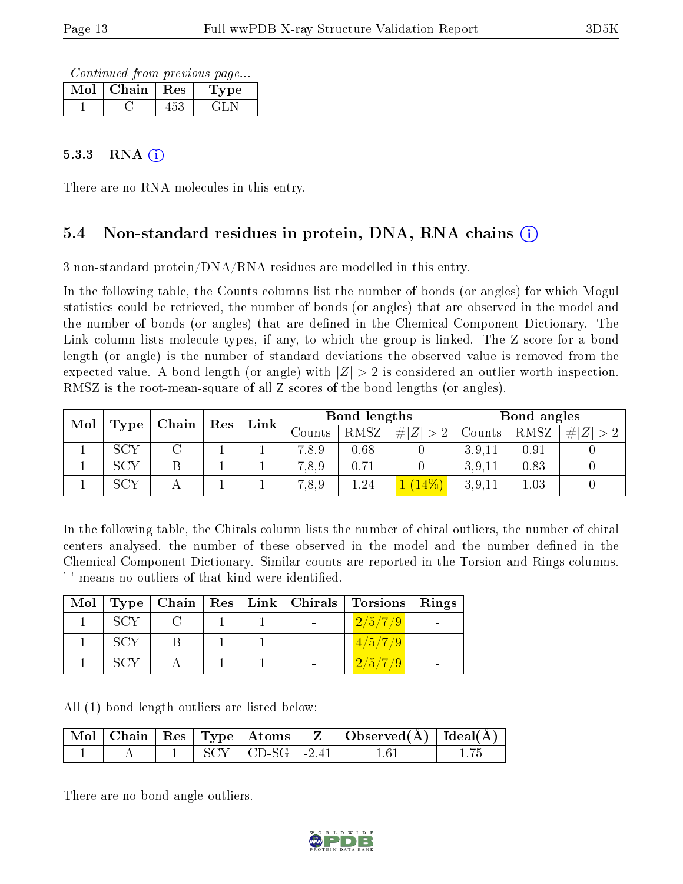Continued from previous page...

| Mol | Chain | $+$ Res $-$ | <b>Type</b> |
|-----|-------|-------------|-------------|
|     |       |             |             |

#### $5.3.3$  RNA  $(i)$

There are no RNA molecules in this entry.

### 5.4 Non-standard residues in protein, DNA, RNA chains (i)

3 non-standard protein/DNA/RNA residues are modelled in this entry.

In the following table, the Counts columns list the number of bonds (or angles) for which Mogul statistics could be retrieved, the number of bonds (or angles) that are observed in the model and the number of bonds (or angles) that are defined in the Chemical Component Dictionary. The Link column lists molecule types, if any, to which the group is linked. The Z score for a bond length (or angle) is the number of standard deviations the observed value is removed from the expected value. A bond length (or angle) with  $|Z| > 2$  is considered an outlier worth inspection. RMSZ is the root-mean-square of all Z scores of the bond lengths (or angles).

| Mol | Type | Chain | Res |  |        |      |                      |        |      |     |  |  | Link |  | Bond lengths |  | Bond angles |  |  |
|-----|------|-------|-----|--|--------|------|----------------------|--------|------|-----|--|--|------|--|--------------|--|-------------|--|--|
|     |      |       |     |  | Counts | RMSZ | Z <br>#I<br>$\sim$ 0 | Counts | RMSZ | H Z |  |  |      |  |              |  |             |  |  |
|     | SCY  |       |     |  | 7,8,9  | 0.68 |                      | 3,9,11 | 0.91 |     |  |  |      |  |              |  |             |  |  |
|     | SCY  |       |     |  | 7,8,9  | 0.71 |                      | 3.9.11 | 0.83 |     |  |  |      |  |              |  |             |  |  |
|     | SCY  |       |     |  | 7,8,9  | 1.24 |                      | 3.9.11 | 1.03 |     |  |  |      |  |              |  |             |  |  |

In the following table, the Chirals column lists the number of chiral outliers, the number of chiral centers analysed, the number of these observed in the model and the number defined in the Chemical Component Dictionary. Similar counts are reported in the Torsion and Rings columns. '-' means no outliers of that kind were identified.

|      |  |  | Mol   Type   Chain   Res   Link   Chirals   Torsions   Rings |  |
|------|--|--|--------------------------------------------------------------|--|
| SCY  |  |  | 2/5/7/9                                                      |  |
| -SCY |  |  | 4/5/7/9                                                      |  |
| -SCY |  |  | 2/5/7/9                                                      |  |

All (1) bond length outliers are listed below:

|  |  |                       | $\mid$ Mol $\mid$ Chain $\mid$ Res $\mid$ Type $\mid$ Atoms $\mid$ Z $\mid$ Observed(A) $\mid$ Ideal(A) |  |
|--|--|-----------------------|---------------------------------------------------------------------------------------------------------|--|
|  |  | $SCY$   CD-SG   -2.41 |                                                                                                         |  |

There are no bond angle outliers.

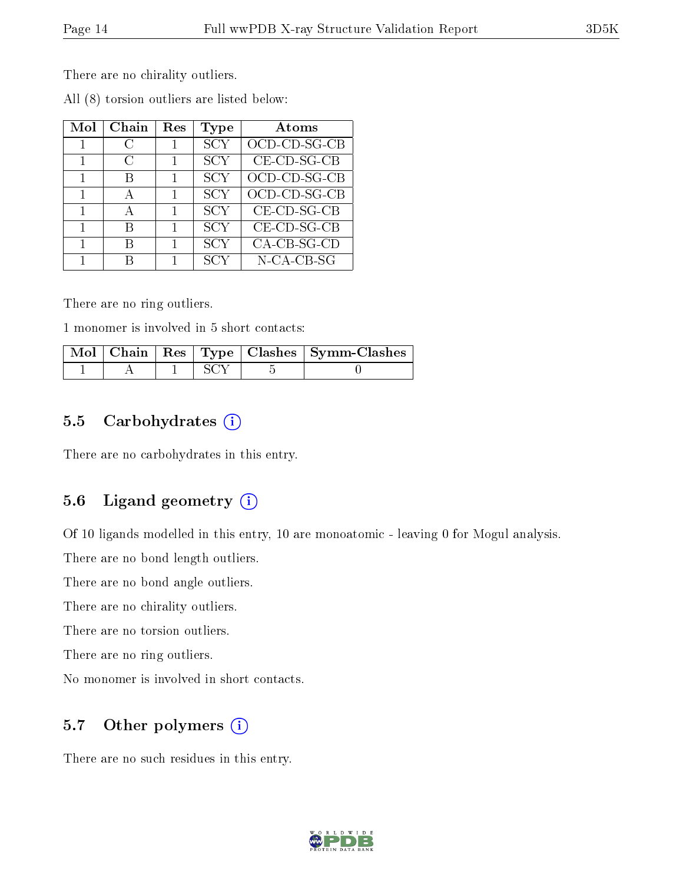There are no chirality outliers.

| Mol | Chain          | Res | Type       | Atoms          |
|-----|----------------|-----|------------|----------------|
|     | C              | 1   | <b>SCY</b> | OCD-CD-SG-CB   |
|     | $\mathfrak{C}$ |     | <b>SCY</b> | $CE$ -CD-SG-CB |
|     | К              |     | SCY        | OCD-CD-SG-CB   |
|     |                |     | <b>SCY</b> | OCD-CD-SG-CB   |
|     |                | 1   | <b>SCY</b> | $CE$ -CD-SG-CB |
| 1   | R              | 1   | <b>SCY</b> | $CE$ -CD-SG-CB |
|     |                |     | <b>SCY</b> | CA-CB-SG-CD    |
|     |                |     | SCY        | $N$ -CA-CB-SG  |

All (8) torsion outliers are listed below:

There are no ring outliers.

1 monomer is involved in 5 short contacts:

|  |  | $\overline{\rm ~Mol~ ~Chain~ ~Res~ ~Type~ ~Class ~ ~Symm\mbox{-\textbf{Class}}~ }$ |
|--|--|------------------------------------------------------------------------------------|
|  |  |                                                                                    |

### 5.5 Carbohydrates  $(i)$

There are no carbohydrates in this entry.

### 5.6 Ligand geometry (i)

Of 10 ligands modelled in this entry, 10 are monoatomic - leaving 0 for Mogul analysis.

There are no bond length outliers.

There are no bond angle outliers.

There are no chirality outliers.

There are no torsion outliers.

There are no ring outliers.

No monomer is involved in short contacts.

### 5.7 [O](https://www.wwpdb.org/validation/2017/XrayValidationReportHelp#nonstandard_residues_and_ligands)ther polymers (i)

There are no such residues in this entry.

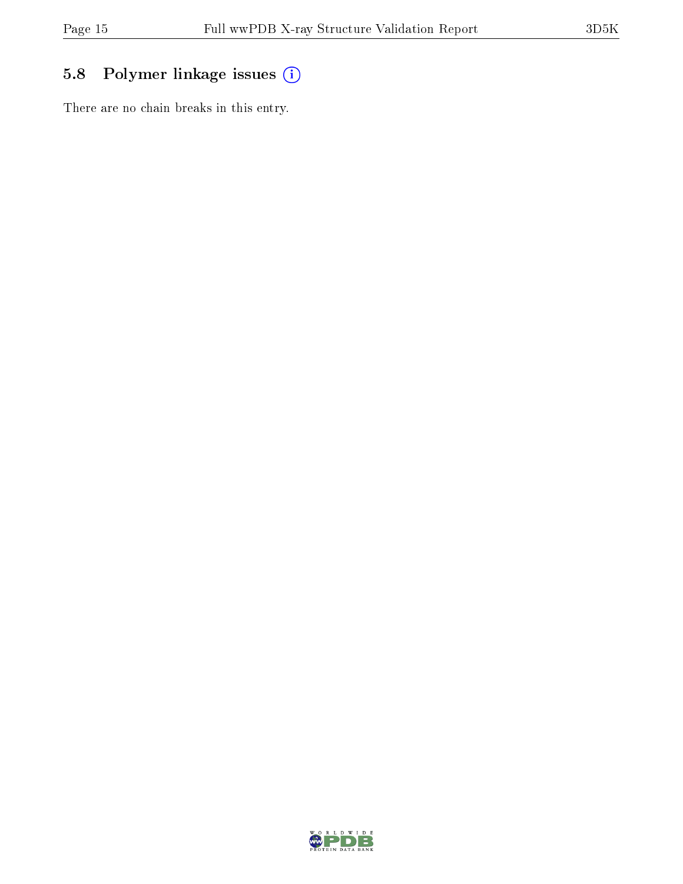## 5.8 Polymer linkage issues (i)

There are no chain breaks in this entry.

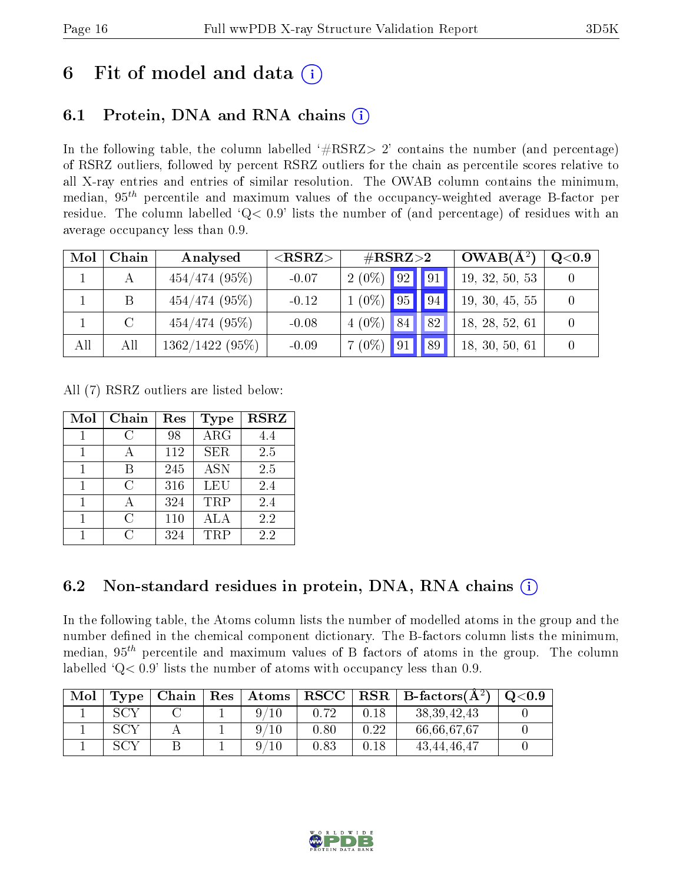## 6 Fit of model and data  $\left( \frac{1}{2} \right)$

## 6.1 Protein, DNA and RNA chains (i)

In the following table, the column labelled  $#RSRZ>2'$  contains the number (and percentage) of RSRZ outliers, followed by percent RSRZ outliers for the chain as percentile scores relative to all X-ray entries and entries of similar resolution. The OWAB column contains the minimum, median,  $95<sup>th</sup>$  percentile and maximum values of the occupancy-weighted average B-factor per residue. The column labelled  $Q< 0.9$  lists the number of (and percentage) of residues with an average occupancy less than 0.9.

| Mol | Chain  | Analysed          | ${ <\hspace{-1.5pt}{\mathrm{RSRZ}} \hspace{-1.5pt}>}$ | $\#\text{RSRZ}{>}2$ |                | $OWAB(A^2)$ | Q <sub>0.9</sub> |  |
|-----|--------|-------------------|-------------------------------------------------------|---------------------|----------------|-------------|------------------|--|
|     |        | $454/474$ (95%)   | $-0.07$                                               | $2(0\%)$ 92         |                | 91          | 19, 32, 50, 53   |  |
|     | B      | $454/474$ (95%)   | $-0.12$                                               | $1(0\%)$ 95         |                | 94          | 19, 30, 45, 55   |  |
|     | $\cap$ | $454/474$ (95%)   | $-0.08$                                               | $4(0\%)$ 84         |                | 82          | 18, 28, 52, 61   |  |
| All | All    | $1362/1422(95\%)$ | $-0.09$                                               | $7(0\%)$            | 9 <sup>1</sup> | 89          | 18, 30, 50, 61   |  |

All (7) RSRZ outliers are listed below:

| Mol | Chain      | Res | <b>Type</b> | <b>RSRZ</b> |
|-----|------------|-----|-------------|-------------|
|     | C          | 98  | ARG         | 4.4         |
|     |            | 112 | <b>SER</b>  | 2.5         |
|     | R          | 245 | <b>ASN</b>  | 2.5         |
|     | C          | 316 | LEU         | 2.4         |
| 1   |            | 324 | TRP         | 2.4         |
|     | C          | 110 | ALA         | 2.2         |
|     | $\epsilon$ | 324 | TRP         | 22          |

### 6.2 Non-standard residues in protein, DNA, RNA chains (i)

In the following table, the Atoms column lists the number of modelled atoms in the group and the number defined in the chemical component dictionary. The B-factors column lists the minimum, median,  $95<sup>th</sup>$  percentile and maximum values of B factors of atoms in the group. The column labelled  $Q< 0.9$ ' lists the number of atoms with occupancy less than 0.9.

| Mol | Type | Chain | Res | $\mid$ $\bm{\mathrm{Atoms}}\mid$ | $ \, {\rm RSCC} \,  $ | $ $ RSR $ $ | B-factors $(A^2)$ | O <sub>0.9</sub> |
|-----|------|-------|-----|----------------------------------|-----------------------|-------------|-------------------|------------------|
|     | SCV  |       |     |                                  | 0.72                  | 0.18        | 38, 39, 42, 43    |                  |
|     | SCV  |       |     |                                  | 0.80                  | 0.22        | 66,66,67,67       |                  |
|     | SCV  |       |     |                                  | 0.83                  | 0.18        | 43, 44, 46, 47    |                  |